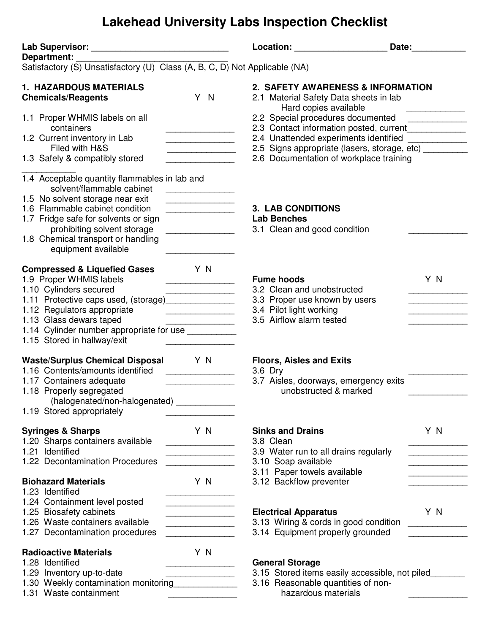## **Lakehead University Labs Inspection Checklist**

|                                                                                                                                                                                                                                                                                                       |                                                                                                                                | Location: New York Decay and Decay and Decay and Decay and Decay and Decay and Decay and Decay and D                                                                                                                                                   | Date: |  |
|-------------------------------------------------------------------------------------------------------------------------------------------------------------------------------------------------------------------------------------------------------------------------------------------------------|--------------------------------------------------------------------------------------------------------------------------------|--------------------------------------------------------------------------------------------------------------------------------------------------------------------------------------------------------------------------------------------------------|-------|--|
| Department:<br>Satisfactory (S) Unsatisfactory (U) Class (A, B, C, D) Not Applicable (NA)                                                                                                                                                                                                             |                                                                                                                                |                                                                                                                                                                                                                                                        |       |  |
| <b>1. HAZARDOUS MATERIALS</b><br><b>Chemicals/Reagents</b>                                                                                                                                                                                                                                            | Y N                                                                                                                            | 2. SAFETY AWARENESS & INFORMATION<br>2.1 Material Safety Data sheets in lab<br>Hard copies available                                                                                                                                                   |       |  |
| 1.1 Proper WHMIS labels on all<br>containers<br>1.2 Current inventory in Lab<br>Filed with H&S<br>1.3 Safely & compatibly stored                                                                                                                                                                      | .<br>.                                                                                                                         | 2.2 Special procedures documented _____________<br>2.3 Contact information posted, current____________<br>2.4 Unattended experiments identified ___________<br>2.5 Signs appropriate (lasers, storage, etc)<br>2.6 Documentation of workplace training |       |  |
| 1.4 Acceptable quantity flammables in lab and<br>solvent/flammable cabinet<br>1.5 No solvent storage near exit<br>1.6 Flammable cabinet condition<br>1.7 Fridge safe for solvents or sign<br>prohibiting solvent storage<br>1.8 Chemical transport or handling<br>equipment available                 | <u> 1990 - Johann Barbara, martin a</u><br><u> 1990 - Johann Barbara, martxa a shekara 1991 - A</u><br>_______________________ | <b>3. LAB CONDITIONS</b><br><b>Lab Benches</b><br>3.1 Clean and good condition                                                                                                                                                                         |       |  |
| <b>Compressed &amp; Liquefied Gases</b><br>1.9 Proper WHMIS labels<br>1.10 Cylinders secured<br>1.11 Protective caps used, (storage)________________<br>1.12 Regulators appropriate<br>1.13 Glass dewars taped<br>1.14 Cylinder number appropriate for use ___________<br>1.15 Stored in hallway/exit | Y N<br><u> 1990 - Johann Barbara, mart</u>                                                                                     | <b>Fume hoods</b><br>3.2 Clean and unobstructed<br>3.3 Proper use known by users<br>3.4 Pilot light working<br>3.5 Airflow alarm tested                                                                                                                | Y N   |  |
| Waste/Surplus Chemical Disposal Y N<br>1.16 Contents/amounts identified<br>1.17 Containers adequate<br>1.18 Properly segregated<br>(halogenated/non-halogenated)<br>1.19 Stored appropriately                                                                                                         | <u> 1990 - Johann Barnett, fransk konge</u>                                                                                    | <b>Floors, Aisles and Exits</b><br>3.6 Dry<br>3.7 Aisles, doorways, emergency exits<br>unobstructed & marked                                                                                                                                           |       |  |
| <b>Syringes &amp; Sharps</b><br>1.20 Sharps containers available<br>1.21 Identified<br>1.22 Decontamination Procedures                                                                                                                                                                                | Y N                                                                                                                            | <b>Sinks and Drains</b><br>3.8 Clean<br>3.9 Water run to all drains regularly<br>3.10 Soap available<br>3.11 Paper towels available<br>3.12 Backflow preventer                                                                                         | Y N   |  |
| <b>Biohazard Materials</b><br>1.23 Identified<br>1.24 Containment level posted                                                                                                                                                                                                                        | Y N                                                                                                                            |                                                                                                                                                                                                                                                        |       |  |
| 1.25 Biosafety cabinets<br>1.26 Waste containers available<br>1.27 Decontamination procedures                                                                                                                                                                                                         | <u> 1990 - Johann Barbara, martx</u><br>.                                                                                      | <b>Electrical Apparatus</b><br>3.13 Wiring & cords in good condition<br>3.14 Equipment properly grounded                                                                                                                                               | Y N   |  |
| <b>Radioactive Materials</b><br>1.28 Identified<br>1.29 Inventory up-to-date<br>1.30 Weekly contamination monitoring<br>1.31 Waste containment                                                                                                                                                        | Y N                                                                                                                            | <b>General Storage</b><br>3.15 Stored items easily accessible, not piled<br>3.16 Reasonable quantities of non-<br>hazardous materials                                                                                                                  |       |  |